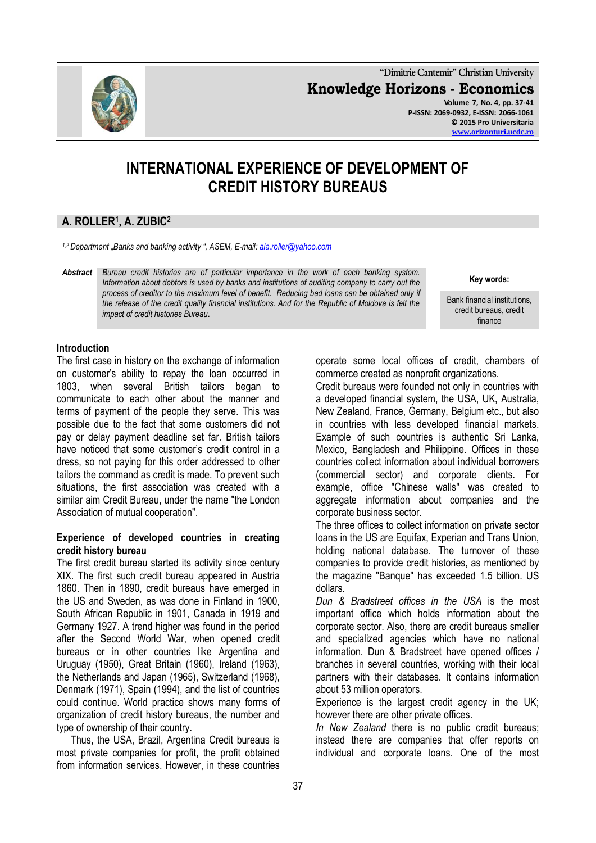**"Dimitrie Cantemir" Christian University Knowledge Horizons - Economics Volume 7, No. 4, pp. 37-41 P-ISSN: 2069-0932, E-ISSN: 2066-1061 © 2015 Pro Universitaria [www.orizonturi.ucdc.ro](http://www.orizonturi.ucdc.ro/)**

# **INTERNATIONAL EXPERIENCE OF DEVELOPMENT OF CREDIT HISTORY BUREAUS**

## **A. ROLLER<sup>1</sup> , A. ZUBIC<sup>2</sup>**

*1,2 Department "Banks and banking activity ", ASEM, E-mail[: ala.roller@yahoo.com](mailto:ala.roller@yahoo.com)*

*Abstract Bureau credit histories are of particular importance in the work of each banking system. Information about debtors is used by banks and institutions of auditing company to carry out the*  process of creditor to the maximum level of benefit. Reducing bad loans can be obtained only if *the release of the credit quality financial institutions. And for the Republic of Moldova is felt the impact of credit histories Bureau***.**

**Key words:**

Bank financial institutions, credit bureaus, credit finance

#### **Introduction**

The first case in history on the exchange of information on customer's ability to repay the loan occurred in 1803, when several British tailors began to communicate to each other about the manner and terms of payment of the people they serve. This was possible due to the fact that some customers did not pay or delay payment deadline set far. British tailors have noticed that some customer's credit control in a dress, so not paying for this order addressed to other tailors the command as credit is made. To prevent such situations, the first association was created with a similar aim Credit Bureau, under the name "the London Association of mutual cooperation".

#### **Experience of developed countries in creating credit history bureau**

The first credit bureau started its activity since century XIX. The first such credit bureau appeared in Austria 1860. Then in 1890, credit bureaus have emerged in the US and Sweden, as was done in Finland in 1900, South African Republic in 1901, Canada in 1919 and Germany 1927. A trend higher was found in the period after the Second World War, when opened credit bureaus or in other countries like Argentina and Uruguay (1950), Great Britain (1960), Ireland (1963), the Netherlands and Japan (1965), Switzerland (1968), Denmark (1971), Spain (1994), and the list of countries could continue. World practice shows many forms of organization of credit history bureaus, the number and type of ownership of their country.

Thus, the USA, Brazil, Argentina Credit bureaus is most private companies for profit, the profit obtained from information services. However, in these countries

operate some local offices of credit, chambers of commerce created as nonprofit organizations.

Credit bureaus were founded not only in countries with a developed financial system, the USA, UK, Australia, New Zealand, France, Germany, Belgium etc., but also in countries with less developed financial markets. Example of such countries is authentic Sri Lanka, Mexico, Bangladesh and Philippine. Offices in these countries collect information about individual borrowers (commercial sector) and corporate clients. For example, office "Chinese walls" was created to aggregate information about companies and the corporate business sector.

The three offices to collect information on private sector loans in the US are Equifax, Experian and Trans Union, holding national database. The turnover of these companies to provide credit histories, as mentioned by the magazine "Banque" has exceeded 1.5 billion. US dollars.

*Dun & Bradstreet offices in the USA* is the most important office which holds information about the corporate sector. Also, there are credit bureaus smaller and specialized agencies which have no national information. Dun & Bradstreet have opened offices / branches in several countries, working with their local partners with their databases. It contains information about 53 million operators.

Experience is the largest credit agency in the UK; however there are other private offices.

*In New Zealand* there is no public credit bureaus; instead there are companies that offer reports on individual and corporate loans. One of the most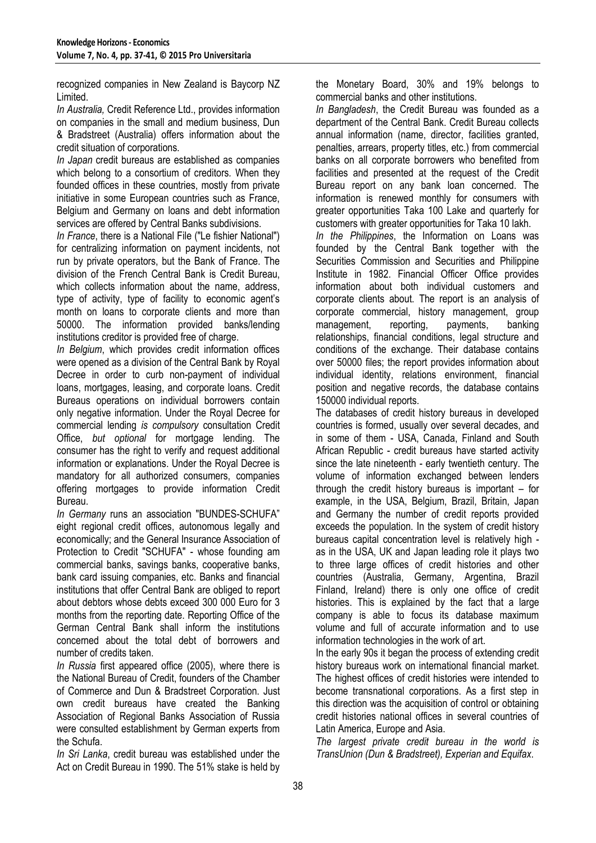recognized companies in New Zealand is Baycorp NZ Limited.

*In Australia,* Credit Reference Ltd., provides information on companies in the small and medium business, Dun & Bradstreet (Australia) offers information about the credit situation of corporations.

*In Japan* credit bureaus are established as companies which belong to a consortium of creditors*.* When they founded offices in these countries, mostly from private initiative in some European countries such as France, Belgium and Germany on loans and debt information services are offered by Central Banks subdivisions.

*In France*, there is a National File ("Le fishier National") for centralizing information on payment incidents, not run by private operators, but the Bank of France. The division of the French Central Bank is Credit Bureau, which collects information about the name, address, type of activity, type of facility to economic agent's month on loans to corporate clients and more than 50000. The information provided banks/lending institutions creditor is provided free of charge.

*In Belgium*, which provides credit information offices were opened as a division of the Central Bank by Royal Decree in order to curb non-payment of individual loans, mortgages, leasing, and corporate loans. Credit Bureaus operations on individual borrowers contain only negative information. Under the Royal Decree for commercial lending *is compulsory* consultation Credit Office, *but optional* for mortgage lending. The consumer has the right to verify and request additional information or explanations. Under the Royal Decree is mandatory for all authorized consumers, companies offering mortgages to provide information Credit Bureau.

*In Germany* runs an association "BUNDES-SCHUFA" eight regional credit offices, autonomous legally and economically; and the General Insurance Association of Protection to Credit "SCHUFA" - whose founding am commercial banks, savings banks, cooperative banks, bank card issuing companies, etc. Banks and financial institutions that offer Central Bank are obliged to report about debtors whose debts exceed 300 000 Euro for 3 months from the reporting date. Reporting Office of the German Central Bank shall inform the institutions concerned about the total debt of borrowers and number of credits taken.

*In Russia* first appeared office (2005), where there is the National Bureau of Credit, founders of the Chamber of Commerce and Dun & Bradstreet Corporation. Just own credit bureaus have created the Banking Association of Regional Banks Association of Russia were consulted establishment by German experts from the Schufa.

*In Sri Lanka*, credit bureau was established under the Act on Credit Bureau in 1990. The 51% stake is held by the Monetary Board, 30% and 19% belongs to commercial banks and other institutions.

*In Bangladesh*, the Credit Bureau was founded as a department of the Central Bank. Credit Bureau collects annual information (name, director, facilities granted, penalties, arrears, property titles, etc.) from commercial banks on all corporate borrowers who benefited from facilities and presented at the request of the Credit Bureau report on any bank loan concerned. The information is renewed monthly for consumers with greater opportunities Taka 100 Lake and quarterly for customers with greater opportunities for Taka 10 lakh.

*In the Philippines*, the Information on Loans was founded by the Central Bank together with the Securities Commission and Securities and Philippine Institute in 1982. Financial Officer Office provides information about both individual customers and corporate clients about. The report is an analysis of corporate commercial, history management, group management, reporting, payments, banking relationships, financial conditions, legal structure and conditions of the exchange. Their database contains over 50000 files; the report provides information about individual identity, relations environment, financial position and negative records, the database contains 150000 individual reports.

The databases of credit history bureaus in developed countries is formed, usually over several decades, and in some of them - USA, Canada, Finland and South African Republic - credit bureaus have started activity since the late nineteenth - early twentieth century. The volume of information exchanged between lenders through the credit history bureaus is important – for example, in the USA, Belgium, Brazil, Britain, Japan and Germany the number of credit reports provided exceeds the population. In the system of credit history bureaus capital concentration level is relatively high as in the USA, UK and Japan leading role it plays two to three large offices of credit histories and other countries (Australia, Germany, Argentina, Brazil Finland, Ireland) there is only one office of credit histories. This is explained by the fact that a large company is able to focus its database maximum volume and full of accurate information and to use information technologies in the work of art.

In the early 90s it began the process of extending credit history bureaus work on international financial market. The highest offices of credit histories were intended to become transnational corporations. As a first step in this direction was the acquisition of control or obtaining credit histories national offices in several countries of Latin America, Europe and Asia.

*The largest private credit bureau in the world is TransUnion (Dun & Bradstreet), Experian and Equifax*.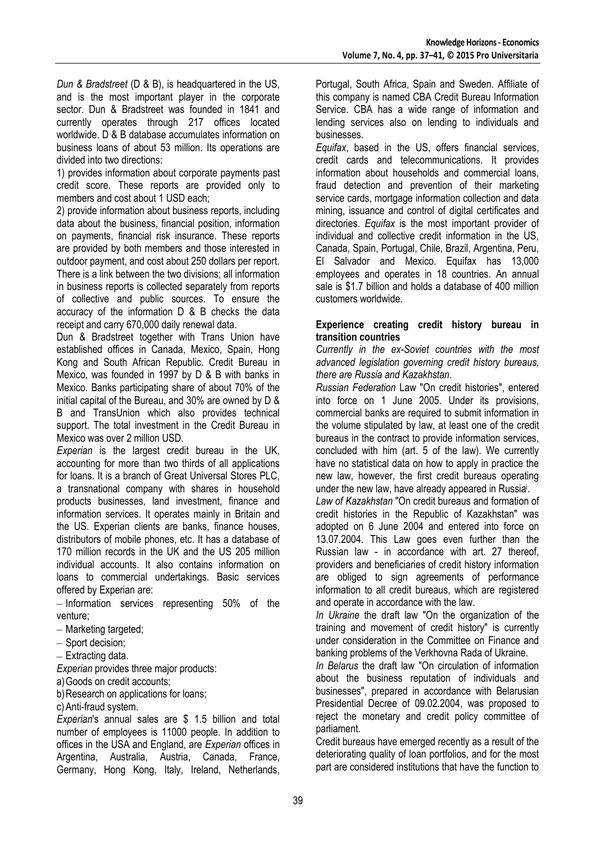*Dun & Bradstreet* (D & B), is headquartered in the US, and is the most important player in the corporate sector. Dun & Bradstreet was founded in 1841 and currently operates through 217 offices located worldwide. D & B database accumulates information on business loans of about 53 million. Its operations are divided into two directions:

1) provides information about corporate payments past credit score. These reports are provided only to members and cost about 1 USD each;

2) provide information about business reports, including data about the business, financial position, information on payments, financial risk insurance. These reports are provided by both members and those interested in outdoor payment, and cost about 250 dollars per report. There is a link between the two divisions; all information in business reports is collected separately from reports of collective and public sources. To ensure the accuracy of the information D & B checks the data receipt and carry 670,000 daily renewal data.

Dun & Bradstreet together with Trans Union have established offices in Canada, Mexico, Spain, Hong Kong and South African Republic. Credit Bureau in Mexico, was founded in 1997 by D & B with banks in Mexico. Banks participating share of about 70% of the initial capital of the Bureau, and 30% are owned by D & B and TransUnion which also provides technical support. The total investment in the Credit Bureau in Mexico was over 2 million USD.

*Experian* is the largest credit bureau in the UK, accounting for more than two thirds of all applications for loans. It is a branch of Great Universal Stores PLC, a transnational company with shares in household products businesses, land investment, finance and information services. It operates mainly in Britain and the US. Experian clients are banks, finance houses, distributors of mobile phones, etc. It has a database of 170 million records in the UK and the US 205 million individual accounts. It also contains information on loans to commercial undertakings. Basic services offered by Experian are:

 $-$  Information services representing 50% of the venture;

- Marketing targeted;

- Sport decision;
- $-$  Extracting data.

*Experian* provides three major products:

a)Goods on credit accounts;

b)Research on applications for loans;

c)Anti-fraud system.

*Experian*'s annual sales are \$ 1.5 billion and total number of employees is 11000 people. In addition to offices in the USA and England, are *Experian* offices in Argentina, Australia, Austria, Canada, France, Germany, Hong Kong, Italy, Ireland, Netherlands,

Portugal, South Africa, Spain and Sweden. Affiliate of this company is named CBA Credit Bureau Information Service. CBA has a wide range of information and lending services also on lending to individuals and businesses.

*Equifax*, based in the US, offers financial services, credit cards and telecommunications. It provides information about households and commercial loans, fraud detection and prevention of their marketing service cards, mortgage information collection and data mining, issuance and control of digital certificates and directories. *Equifax* is the most important provider of individual and collective credit information in the US, Canada, Spain, Portugal, Chile, Brazil, Argentina, Peru, El Salvador and Mexico. Equifax has 13,000 employees and operates in 18 countries. An annual sale is \$1.7 billion and holds a database of 400 million customers worldwide.

#### **Experience creating credit history bureau in transition countries**

*Currently in the ex-Soviet countries with the most advanced legislation governing credit history bureaus, there are Russia and Kazakhstan*.

*Russian Federation* Law "On credit histories", entered into force on 1 June 2005. Under its provisions, commercial banks are required to submit information in the volume stipulated by law, at least one of the credit bureaus in the contract to provide information services, concluded with him (art. 5 of the law). We currently have no statistical data on how to apply in practice the new law, however, the first credit bureaus operating under the new law, have already appeared in Russia<sup>i</sup>.

*Law of Kazakhstan* "On credit bureaus and formation of credit histories in the Republic of Kazakhstan" was adopted on 6 June 2004 and entered into force on 13.07.2004. This Law goes even further than the Russian law - in accordance with art. 27 thereof, providers and beneficiaries of credit history information are obliged to sign agreements of performance information to all credit bureaus, which are registered and operate in accordance with the law.

*In Ukraine* the draft law "On the organization of the training and movement of credit history" is currently under consideration in the Committee on Finance and banking problems of the Verkhovna Rada of Ukraine.

*In Belarus* the draft law "On circulation of information about the business reputation of individuals and businesses", prepared in accordance with Belarusian Presidential Decree of 09.02.2004, was proposed to reject the monetary and credit policy committee of parliament.

Credit bureaus have emerged recently as a result of the deteriorating quality of loan portfolios, and for the most part are considered institutions that have the function to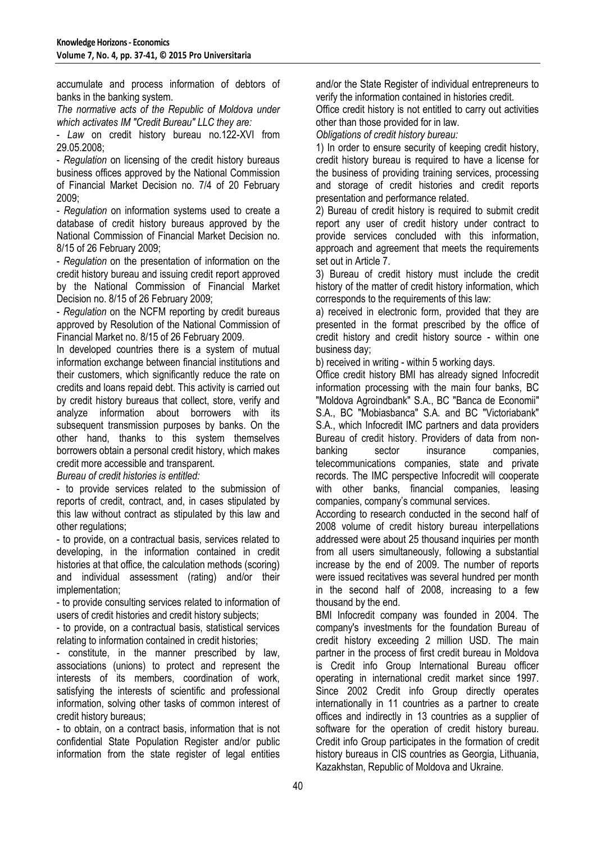accumulate and process information of debtors of banks in the banking system.

*The normative acts of the Republic of Moldova under which activates IM "Credit Bureau" LLC they are:*

- *Law* on credit history bureau no.122-XVI from 29.05.2008;

- *Regulation* on licensing of the credit history bureaus business offices approved by the National Commission of Financial Market Decision no. 7/4 of 20 February 2009;

- *Regulation* on information systems used to create a database of credit history bureaus approved by the National Commission of Financial Market Decision no. 8/15 of 26 February 2009;

- *Regulation* on the presentation of information on the credit history bureau and issuing credit report approved by the National Commission of Financial Market Decision no. 8/15 of 26 February 2009;

- *Regulation* on the NCFM reporting by credit bureaus approved by Resolution of the National Commission of Financial Market no. 8/15 of 26 February 2009.

In developed countries there is a system of mutual information exchange between financial institutions and their customers, which significantly reduce the rate on credits and loans repaid debt. This activity is carried out by credit history bureaus that collect, store, verify and analyze information about borrowers with its subsequent transmission purposes by banks. On the other hand, thanks to this system themselves borrowers obtain a personal credit history, which makes credit more accessible and transparent.

*Bureau of credit histories is entitled:*

- to provide services related to the submission of reports of credit, contract, and, in cases stipulated by this law without contract as stipulated by this law and other regulations;

- to provide, on a contractual basis, services related to developing, in the information contained in credit histories at that office, the calculation methods (scoring) and individual assessment (rating) and/or their implementation;

- to provide consulting services related to information of users of credit histories and credit history subjects;

- to provide, on a contractual basis, statistical services relating to information contained in credit histories;

- constitute, in the manner prescribed by law, associations (unions) to protect and represent the interests of its members, coordination of work, satisfying the interests of scientific and professional information, solving other tasks of common interest of credit history bureaus;

- to obtain, on a contract basis, information that is not confidential State Population Register and/or public information from the state register of legal entities

and/or the State Register of individual entrepreneurs to verify the information contained in histories credit.

Office credit history is not entitled to carry out activities other than those provided for in law.

*Obligations of credit history bureau:*

1) In order to ensure security of keeping credit history, credit history bureau is required to have a license for the business of providing training services, processing and storage of credit histories and credit reports presentation and performance related.

2) Bureau of credit history is required to submit credit report any user of credit history under contract to provide services concluded with this information, approach and agreement that meets the requirements set out in Article 7.

3) Bureau of credit history must include the credit history of the matter of credit history information, which corresponds to the requirements of this law:

a) received in electronic form, provided that they are presented in the format prescribed by the office of credit history and credit history source - within one business day;

b) received in writing - within 5 working days.

Office credit history BMI has already signed Infocredit information processing with the main four banks, BC "Moldova Agroindbank" S.A., BC "Banca de Economii" S.A., BC "Mobiasbanca" S.A. and BC "Victoriabank" S.A., which Infocredit IMC partners and data providers Bureau of credit history. Providers of data from non-<br>banking sector insurance companies. banking sector insurance companies, telecommunications companies, state and private records. The IMC perspective Infocredit will cooperate with other banks, financial companies, leasing companies, company's communal services.

According to research conducted in the second half of 2008 volume of credit history bureau interpellations addressed were about 25 thousand inquiries per month from all users simultaneously, following a substantial increase by the end of 2009. The number of reports were issued recitatives was several hundred per month in the second half of 2008, increasing to a few thousand by the end.

BMI Infocredit company was founded in 2004. The company's investments for the foundation Bureau of credit history exceeding 2 million USD. The main partner in the process of first credit bureau in Moldova is Credit info Group International Bureau officer operating in international credit market since 1997. Since 2002 Credit info Group directly operates internationally in 11 countries as a partner to create offices and indirectly in 13 countries as a supplier of software for the operation of credit history bureau. Credit info Group participates in the formation of credit history bureaus in CIS countries as Georgia, Lithuania, Kazakhstan, Republic of Moldova and Ukraine.